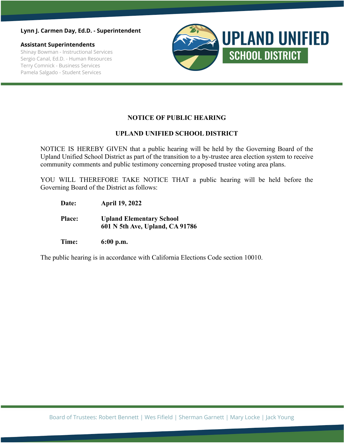**Lynn J. Carmen Day, Ed.D. - Superintendent**

**Assistant Superintendents** Shinay Bowman - Instructional Services Sergio Canal, Ed.D. - Human Resources Terry Comnick - Business Services Pamela Salgado - Student Services



## **NOTICE OF PUBLIC HEARING**

## **UPLAND UNIFIED SCHOOL DISTRICT**

NOTICE IS HEREBY GIVEN that a public hearing will be held by the Governing Board of the Upland Unified School District as part of the transition to a by-trustee area election system to receive community comments and public testimony concerning proposed trustee voting area plans.

YOU WILL THEREFORE TAKE NOTICE THAT a public hearing will be held before the Governing Board of the District as follows:

- **Date: April 19, 2022**
- **Place: Upland Elementary School 601 N 5th Ave, Upland, CA 91786**
- **Time: 6:00 p.m.**

The public hearing is in accordance with California Elections Code section 10010.